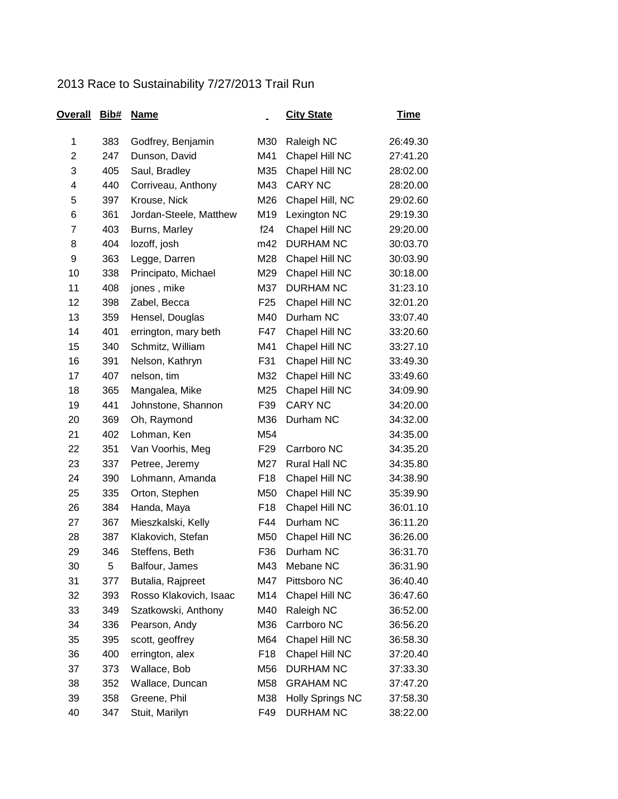## 2013 Race to Sustainability 7/27/2013 Trail Run

| Overall        | Bib# | <b>Name</b>            |                 | <b>City State</b>       | <u>Time</u> |
|----------------|------|------------------------|-----------------|-------------------------|-------------|
| 1              | 383  | Godfrey, Benjamin      | M30             | Raleigh NC              | 26:49.30    |
| $\overline{2}$ | 247  | Dunson, David          | M41             | Chapel Hill NC          | 27:41.20    |
| 3              | 405  | Saul, Bradley          | M35             | Chapel Hill NC          | 28:02.00    |
| 4              | 440  | Corriveau, Anthony     | M43             | <b>CARY NC</b>          | 28:20.00    |
| 5              | 397  | Krouse, Nick           | M26             | Chapel Hill, NC         | 29:02.60    |
| 6              | 361  | Jordan-Steele, Matthew | M19             | Lexington NC            | 29:19.30    |
| $\overline{7}$ | 403  | Burns, Marley          | f24             | Chapel Hill NC          | 29:20.00    |
| 8              | 404  | lozoff, josh           | m42             | <b>DURHAM NC</b>        | 30:03.70    |
| 9              | 363  | Legge, Darren          | M28             | Chapel Hill NC          | 30:03.90    |
| 10             | 338  | Principato, Michael    | M29             | Chapel Hill NC          | 30:18.00    |
| 11             | 408  | jones, mike            | M37             | DURHAM NC               | 31:23.10    |
| 12             | 398  | Zabel, Becca           | F <sub>25</sub> | Chapel Hill NC          | 32:01.20    |
| 13             | 359  | Hensel, Douglas        | M40             | Durham NC               | 33:07.40    |
| 14             | 401  | errington, mary beth   | F47             | Chapel Hill NC          | 33:20.60    |
| 15             | 340  | Schmitz, William       | M41             | Chapel Hill NC          | 33:27.10    |
| 16             | 391  | Nelson, Kathryn        | F31             | Chapel Hill NC          | 33:49.30    |
| 17             | 407  | nelson, tim            | M32             | Chapel Hill NC          | 33:49.60    |
| 18             | 365  | Mangalea, Mike         | M25             | Chapel Hill NC          | 34:09.90    |
| 19             | 441  | Johnstone, Shannon     | F39             | <b>CARY NC</b>          | 34:20.00    |
| 20             | 369  | Oh, Raymond            | M36             | Durham NC               | 34:32.00    |
| 21             | 402  | Lohman, Ken            | M54             |                         | 34:35.00    |
| 22             | 351  | Van Voorhis, Meg       | F <sub>29</sub> | Carrboro NC             | 34:35.20    |
| 23             | 337  | Petree, Jeremy         | M27             | Rural Hall NC           | 34:35.80    |
| 24             | 390  | Lohmann, Amanda        | F <sub>18</sub> | Chapel Hill NC          | 34:38.90    |
| 25             | 335  | Orton, Stephen         | M50             | Chapel Hill NC          | 35:39.90    |
| 26             | 384  | Handa, Maya            | F <sub>18</sub> | Chapel Hill NC          | 36:01.10    |
| 27             | 367  | Mieszkalski, Kelly     | F44             | Durham NC               | 36:11.20    |
| 28             | 387  | Klakovich, Stefan      | M50             | Chapel Hill NC          | 36:26.00    |
| 29             | 346  | Steffens, Beth         | F36             | Durham NC               | 36:31.70    |
| 30             | 5    | Balfour, James         | M43             | Mebane NC               | 36:31.90    |
| 31             | 377  | Butalia, Rajpreet      | M47             | Pittsboro NC            | 36:40.40    |
| 32             | 393  | Rosso Klakovich, Isaac | M14             | Chapel Hill NC          | 36:47.60    |
| 33             | 349  | Szatkowski, Anthony    | M40             | Raleigh NC              | 36:52.00    |
| 34             | 336  | Pearson, Andy          | M36             | Carrboro NC             | 36:56.20    |
| 35             | 395  | scott, geoffrey        | M64             | Chapel Hill NC          | 36:58.30    |
| 36             | 400  | errington, alex        | F <sub>18</sub> | Chapel Hill NC          | 37:20.40    |
| 37             | 373  | Wallace, Bob           | M56             | <b>DURHAM NC</b>        | 37:33.30    |
| 38             | 352  | Wallace, Duncan        | M58             | <b>GRAHAM NC</b>        | 37:47.20    |
| 39             | 358  | Greene, Phil           | M38             | <b>Holly Springs NC</b> | 37:58.30    |
| 40             | 347  | Stuit, Marilyn         | F49             | <b>DURHAM NC</b>        | 38:22.00    |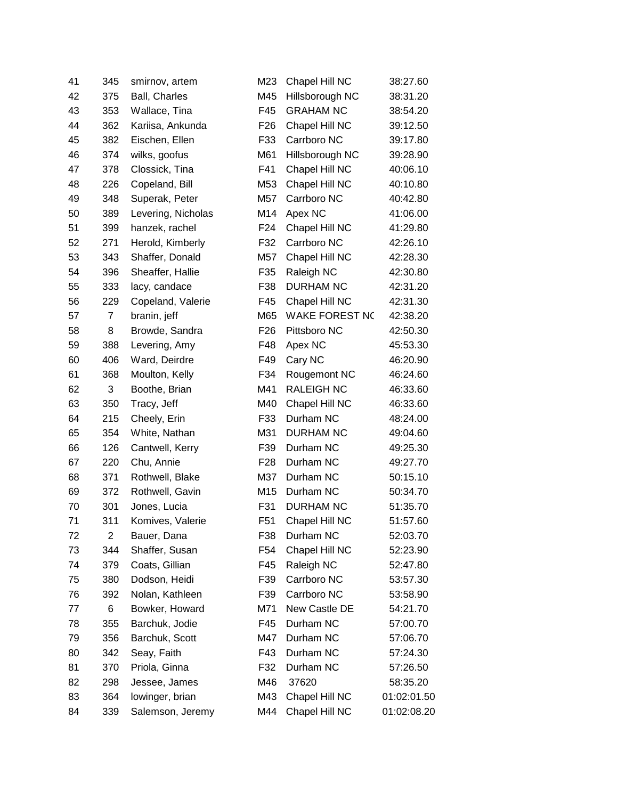| 41 | 345            | smirnov, artem     | M23             | Chapel Hill NC        | 38:27.60    |
|----|----------------|--------------------|-----------------|-----------------------|-------------|
| 42 | 375            | Ball, Charles      | M45             | Hillsborough NC       | 38:31.20    |
| 43 | 353            | Wallace, Tina      | F45             | <b>GRAHAM NC</b>      | 38:54.20    |
| 44 | 362            | Kariisa, Ankunda   | F <sub>26</sub> | Chapel Hill NC        | 39:12.50    |
| 45 | 382            | Eischen, Ellen     | F33             | Carrboro NC           | 39:17.80    |
| 46 | 374            | wilks, goofus      | M61             | Hillsborough NC       | 39:28.90    |
| 47 | 378            | Clossick, Tina     | F41             | Chapel Hill NC        | 40:06.10    |
| 48 | 226            | Copeland, Bill     | M53             | Chapel Hill NC        | 40:10.80    |
| 49 | 348            | Superak, Peter     | M57             | Carrboro NC           | 40:42.80    |
| 50 | 389            | Levering, Nicholas | M14             | Apex NC               | 41:06.00    |
| 51 | 399            | hanzek, rachel     | F <sub>24</sub> | Chapel Hill NC        | 41:29.80    |
| 52 | 271            | Herold, Kimberly   | F32             | Carrboro NC           | 42:26.10    |
| 53 | 343            | Shaffer, Donald    | M57             | Chapel Hill NC        | 42:28.30    |
| 54 | 396            | Sheaffer, Hallie   | F35             | Raleigh NC            | 42:30.80    |
| 55 | 333            | lacy, candace      | F38             | <b>DURHAM NC</b>      | 42:31.20    |
| 56 | 229            | Copeland, Valerie  | F45             | Chapel Hill NC        | 42:31.30    |
| 57 | $\overline{7}$ | branin, jeff       | M65             | <b>WAKE FOREST NO</b> | 42:38.20    |
| 58 | 8              | Browde, Sandra     | F <sub>26</sub> | Pittsboro NC          | 42:50.30    |
| 59 | 388            | Levering, Amy      | F48             | Apex NC               | 45:53.30    |
| 60 | 406            | Ward, Deirdre      | F49             | Cary NC               | 46:20.90    |
| 61 | 368            | Moulton, Kelly     | F34             | Rougemont NC          | 46:24.60    |
| 62 | 3              | Boothe, Brian      | M41             | <b>RALEIGH NC</b>     | 46:33.60    |
| 63 | 350            | Tracy, Jeff        | M40             | Chapel Hill NC        | 46:33.60    |
| 64 | 215            | Cheely, Erin       | F33             | Durham NC             | 48:24.00    |
| 65 | 354            | White, Nathan      | M31             | <b>DURHAM NC</b>      | 49:04.60    |
| 66 | 126            | Cantwell, Kerry    | F39             | Durham NC             | 49:25.30    |
| 67 | 220            | Chu, Annie         | F <sub>28</sub> | Durham NC             | 49:27.70    |
| 68 | 371            | Rothwell, Blake    | M37             | Durham NC             | 50:15.10    |
| 69 | 372            | Rothwell, Gavin    | M15             | Durham NC             | 50:34.70    |
| 70 | 301            | Jones, Lucia       | F31             | <b>DURHAM NC</b>      | 51:35.70    |
| 71 | 311            | Komives, Valerie   | F <sub>51</sub> | Chapel Hill NC        | 51:57.60    |
| 72 | $\overline{c}$ | Bauer, Dana        | F38             | Durham NC             | 52:03.70    |
| 73 | 344            | Shaffer, Susan     | F <sub>54</sub> | Chapel Hill NC        | 52:23.90    |
| 74 | 379            | Coats, Gillian     | F45             | Raleigh NC            | 52:47.80    |
| 75 | 380            | Dodson, Heidi      | F39             | Carrboro NC           | 53:57.30    |
| 76 | 392            | Nolan, Kathleen    | F39             | Carrboro NC           | 53:58.90    |
| 77 | 6              | Bowker, Howard     | M71             | New Castle DE         | 54:21.70    |
| 78 | 355            | Barchuk, Jodie     | F45             | Durham NC             | 57:00.70    |
| 79 | 356            | Barchuk, Scott     | M47             | Durham NC             | 57:06.70    |
| 80 | 342            | Seay, Faith        | F43             | Durham NC             | 57:24.30    |
| 81 | 370            | Priola, Ginna      | F32             | Durham NC             | 57:26.50    |
| 82 | 298            | Jessee, James      | M46             | 37620                 | 58:35.20    |
| 83 | 364            | lowinger, brian    | M43             | Chapel Hill NC        | 01:02:01.50 |
| 84 | 339            | Salemson, Jeremy   | M44             | Chapel Hill NC        | 01:02:08.20 |